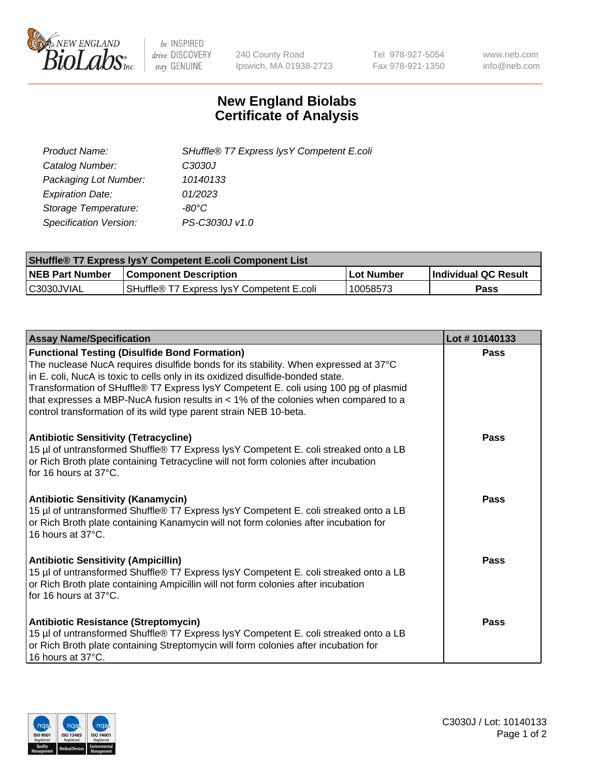

 $be$  INSPIRED drive DISCOVERY stay GENUINE

240 County Road Ipswich, MA 01938-2723 Tel 978-927-5054 Fax 978-921-1350 www.neb.com info@neb.com

## **New England Biolabs Certificate of Analysis**

| Product Name:                 | SHuffle® T7 Express lysY Competent E.coli |
|-------------------------------|-------------------------------------------|
| Catalog Number:               | C3030J                                    |
| Packaging Lot Number:         | 10140133                                  |
| <b>Expiration Date:</b>       | 01/2023                                   |
| Storage Temperature:          | -80°C                                     |
| <b>Specification Version:</b> | PS-C3030J v1.0                            |

| <b>SHuffle® T7 Express lysY Competent E.coli Component List</b> |                                           |              |                       |  |
|-----------------------------------------------------------------|-------------------------------------------|--------------|-----------------------|--|
| <b>NEB Part Number</b>                                          | <b>Component Description</b>              | l Lot Number | ∣Individual QC Result |  |
| IC3030JVIAL                                                     | SHuffle® T7 Express lysY Competent E.coli | 10058573     | Pass                  |  |

| <b>Assay Name/Specification</b>                                                                                                                                                                                                                                                                                                                                                                                                                                                        | Lot #10140133 |
|----------------------------------------------------------------------------------------------------------------------------------------------------------------------------------------------------------------------------------------------------------------------------------------------------------------------------------------------------------------------------------------------------------------------------------------------------------------------------------------|---------------|
| <b>Functional Testing (Disulfide Bond Formation)</b><br>The nuclease NucA requires disulfide bonds for its stability. When expressed at 37°C<br>in E. coli, NucA is toxic to cells only in its oxidized disulfide-bonded state.<br>Transformation of SHuffle® T7 Express lysY Competent E. coli using 100 pg of plasmid<br>that expresses a MBP-NucA fusion results in $<$ 1% of the colonies when compared to a<br>control transformation of its wild type parent strain NEB 10-beta. | Pass          |
| <b>Antibiotic Sensitivity (Tetracycline)</b><br>15 µl of untransformed Shuffle® T7 Express lysY Competent E. coli streaked onto a LB<br>or Rich Broth plate containing Tetracycline will not form colonies after incubation<br>for 16 hours at 37°C.                                                                                                                                                                                                                                   | Pass          |
| <b>Antibiotic Sensitivity (Kanamycin)</b><br>15 µl of untransformed Shuffle® T7 Express lysY Competent E. coli streaked onto a LB<br>or Rich Broth plate containing Kanamycin will not form colonies after incubation for<br>16 hours at $37^{\circ}$ C.                                                                                                                                                                                                                               | Pass          |
| <b>Antibiotic Sensitivity (Ampicillin)</b><br>15 µl of untransformed Shuffle® T7 Express lysY Competent E. coli streaked onto a LB<br>or Rich Broth plate containing Ampicillin will not form colonies after incubation<br>for 16 hours at 37°C.                                                                                                                                                                                                                                       | Pass          |
| <b>Antibiotic Resistance (Streptomycin)</b><br>15 µl of untransformed Shuffle® T7 Express lysY Competent E. coli streaked onto a LB<br>or Rich Broth plate containing Streptomycin will form colonies after incubation for<br>16 hours at 37°C.                                                                                                                                                                                                                                        | Pass          |